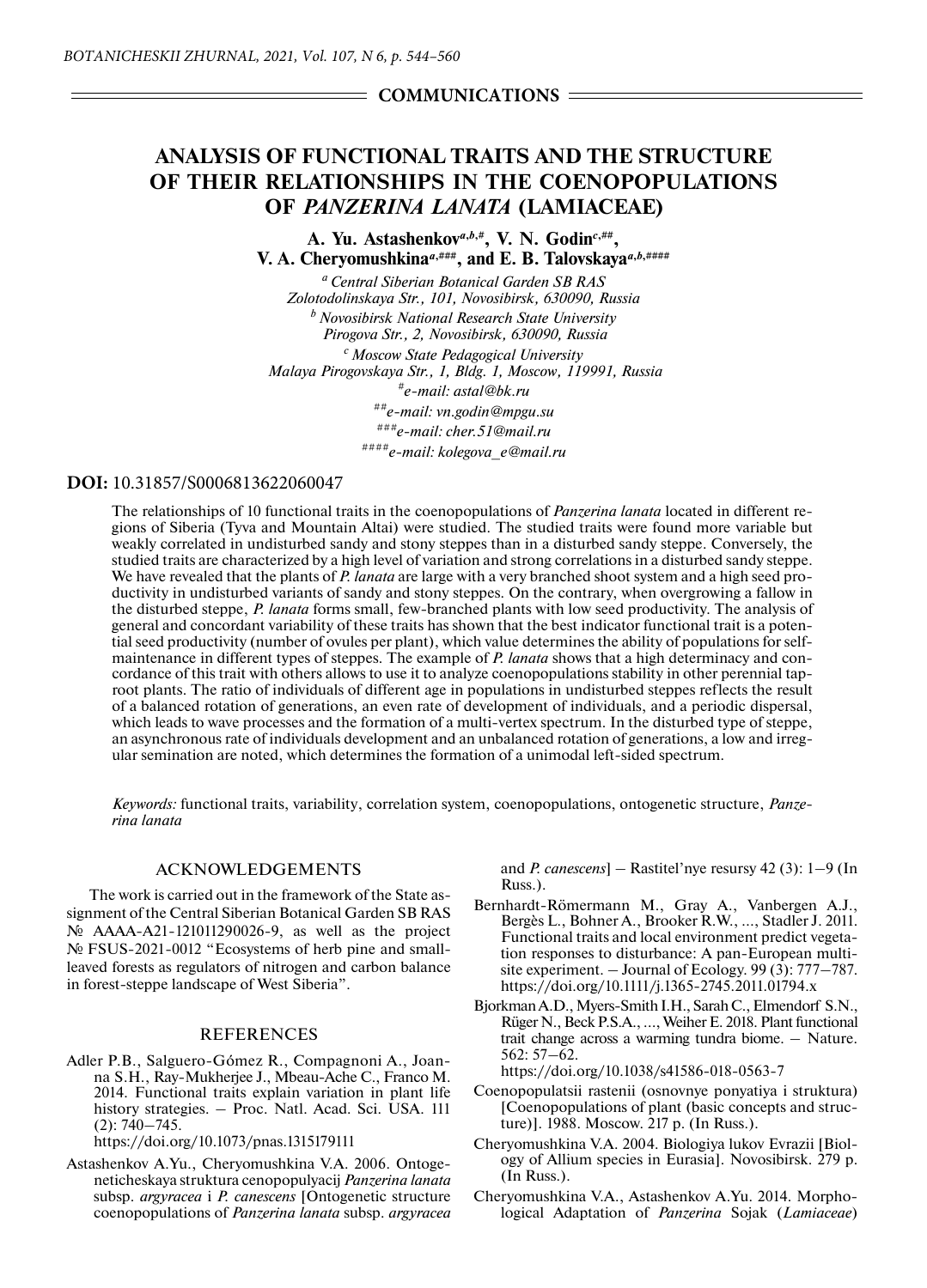# $=$  COMMUNICATIONS  $=$

# **ANALYSIS OF FUNCTIONAL TRAITS AND THE STRUCTURE OF THEIR RELATIONSHIPS IN THE COENOPOPULATIONS OF** *PANZERINA LANATA* **(LAMIACEAE)**

**A. Yu. Astashenkov***a***,***b***,#, V. N. Godin***c***,##, V. A. Cheryomushkina**<sup> $a, # # #$ </sup>, and E. B. Talovskaya<sup> $a, b, # # #$ </sup>

*a Central Siberian Botanical Garden SB RAS Zolotodolinskaya Str., 101, Novosibirsk, 630090, Russia b Novosibirsk National Research State University Pirogova Str., 2, Novosibirsk, 630090, Russia c Moscow State Pedagogical University Malaya Pirogovskaya Str., 1, Bldg. 1, Moscow, 119991, Russia #e-mail: astal@bk.ru ##e-mail: vn.godin@mpgu.su ###e-mail: cher.51@mail.ru ####e-mail: kolegova\_e@mail.ru*

#### **DOI:** 10.31857/S0006813622060047

The relationships of 10 functional traits in the coenopopulations of *Panzerina lanata* located in different regions of Siberia (Tyva and Mountain Altai) were studied. The studied traits were found more variable but weakly correlated in undisturbed sandy and stony steppes than in a disturbed sandy steppe. Conversely, the studied traits are characterized by a high level of variation and strong correlations in a disturbed sandy steppe. We have revealed that the plants of *P. lanata* are large with a very branched shoot system and a high seed productivity in undisturbed variants of sandy and stony steppes. On the contrary, when overgrowing a fallow in the disturbed steppe, *P. lanata* forms small, few-branched plants with low seed productivity. The analysis of general and concordant variability of these traits has shown that the best indicator functional trait is a potential seed productivity (number of ovules per plant), which value determines the ability of populations for selfmaintenance in different types of steppes. The example of *P. lanata* shows that a high determinacy and concordance of this trait with others allows to use it to analyze coenopopulations stability in other perennial taproot plants. The ratio of individuals of different age in populations in undisturbed steppes reflects the result of a balanced rotation of generations, an even rate of development of individuals, and a periodic dispersal, which leads to wave processes and the formation of a multi-vertex spectrum. In the disturbed type of steppe, an asynchronous rate of individuals development and an unbalanced rotation of generations, a low and irregular semination are noted, which determines the formation of a unimodal left-sided spectrum.

*Keywords:* functional traits, variability, correlation system, coenopopulations, ontogenetic structure, *Panzerina lanata*

## ACKNOWLEDGEMENTS

The work is carried out in the framework of the State assignment of the Central Siberian Botanical Garden SB RAS № АААА-А21-121011290026-9, as well as the project № FSUS-2021-0012 "Ecosystems of herb pine and smallleaved forests as regulators of nitrogen and carbon balance in forest-steppe landscape of West Siberia".

## **REFERENCES**

Adler P.B., Salguero-Gómez R., Compagnoni A., Joanna S.H., Ray-Mukherjee J., Mbeau-Ache C., Franco M. 2014. Functional traits explain variation in plant life history strategies. – Proc. Natl. Acad. Sci. USA. 111  $(2): 740 - 745.$ 

https://doi.org/10.1073/pnas.1315179111

Astashenkov A.Yu., Cheryomushkina V.A. 2006. Ontogeneticheskaya struktura cenopopulyacij *Panzerina lanata* subsp. *argyracea* i *P. canescens* [Ontogenetic structure coenopopulations of *Panzerina lanata* subsp. *argyracea*

and *P. canescens*] – Rastitel'nye resursy 42 (3): 1–9 (In Russ.).

- Bernhardt-Römermann M., Gray A., Vanbergen A.J., Bergès L., Bohner A., Brooker R.W., …, Stadler J. 2011. Functional traits and local environment predict vegetation responses to disturbance: A pan-European multisite experiment. – Journal of Ecology. 99 (3): 777–787. https://doi.org/10.1111/j.1365-2745.2011.01794.x
- Bjorkman A.D., Myers-Smith I.H., Sarah C., Elmendorf S.N., Rüger N., Beck P.S.A., …, Weiher E. 2018. Plant functional trait change across a warming tundra biome. – Nature. 562: 57–62.

https://doi.org/10.1038/s41586-018-0563-7

- Coenopopulatsii rastenii (osnovnye ponyatiya i struktura) [Coenopopulations of plant (basic concepts and structure)]. 1988. Moscow. 217 p. (In Russ.).
- Cheryomushkina V.A. 2004. Biologiya lukov Evrazii [Biology of Allium species in Eurasia]. Novosibirsk. 279 p. (In Russ.).
- Cheryomushkina V.A., Astashenkov A.Yu. 2014. Morphological Adaptation of *Panzerina* Sojak (*Lamiaceae*)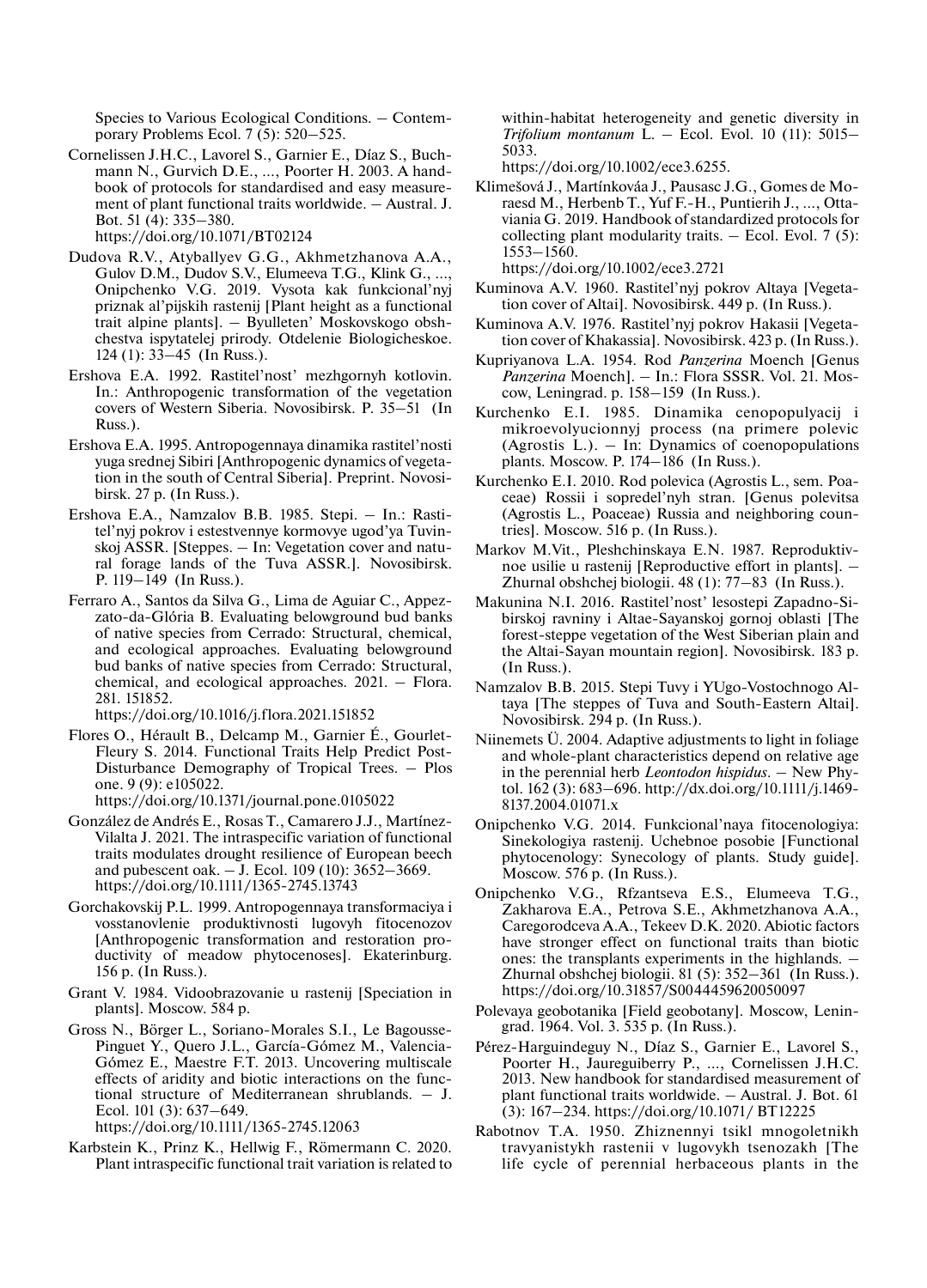Species to Various Ecological Conditions. – Contemporary Problems Ecol. 7 (5): 520–525.

- Cornelissen J.H.C., Lavorel S., Garnier E., Díaz S., Buchmann N., Gurvich D.E., …, Poorter H. 2003. A handbook of protocols for standardised and easy measurement of plant functional traits worldwide. – Austral. J. Bot. 51 (4): 335–380. https://doi.org/10.1071/BT02124
- Dudova R.V., Atyballyev G.G., Akhmetzhanova A.A., Gulov D.M., Dudov S.V., Elumeeva T.G., Klink G., …, Onipchenko V.G. 2019. Vysota kak funkcional'nyj priznak al'pijskih rastenij [Plant height as a functional trait alpine plants]. – Byulleten' Moskovskogo obshchestva ispytatelej prirody. Otdelenie Biologicheskoe. 124 (1): 33–45 (In Russ.).
- Ershova E.A. 1992. Rastitel'nost' mezhgornyh kotlovin. In.: Anthropogenic transformation of the vegetation covers of Western Siberia. Novosibirsk. P. 35–51 (In Russ.).
- Ershova E.A. 1995. Antropogennaya dinamika rastitel'nosti yuga srednej Sibiri [Anthropogenic dynamics of vegetation in the south of Central Siberia]. Preprint. Novosibirsk. 27 p. (In Russ.).
- Ershova E.A., Namzalov B.B. 1985. Stepi. In.: Rastitel'nyj pokrov i estestvennye kormovye ugod'ya Tuvinskoj ASSR. [Steppes. – In: Vegetation cover and natural forage lands of the Tuva ASSR.]. Novosibirsk. P. 119–149 (In Russ.).
- Ferraro A., Santos da Silva G., Lima de Aguiar C., Appezzato-da-Glória B. Evaluating belowground bud banks of native species from Cerrado: Structural, chemical, and ecological approaches. Evaluating belowground bud banks of native species from Cerrado: Structural, chemical, and ecological approaches. 2021. – Flora. 281. 151852.

https://doi.org/10.1016/j.flora.2021.151852

- Flores O., Hérault B., Delcamp M., Garnier É., Gourlet-Fleury S. 2014. Functional Traits Help Predict Post-Disturbance Demography of Tropical Trees. – Plos one. 9 (9): e105022. https://doi.org/10.1371/journal.pone.0105022
- González de Andrés E., Rosas T., Camarero J.J., Martínez-Vilalta J. 2021. The intraspecific variation of functional traits modulates drought resilience of European beech and pubescent oak. – J. Ecol. 109 (10): 3652–3669. https://doi.org/10.1111/1365-2745.13743
- Gorchakovskij P.L. 1999. Antropogennaya transformaciya i vosstanovlenie produktivnosti lugovyh fitocenozov [Anthropogenic transformation and restoration productivity of meadow phytocenoses]. Ekaterinburg. 156 p. (In Russ.).
- Grant V. 1984. Vidoobrazovanie u rastenij [Speciation in plants]. Moscow. 584 p.
- Gross N., Börger L., Soriano-Morales S.I., Le Bagousse-Pinguet Y., Quero J.L., García-Gómez M., Valencia-Gómez E., Maestre F.T. 2013. Uncovering multiscale effects of aridity and biotic interactions on the functional structure of Mediterranean shrublands. – J. Ecol. 101 (3): 637–649.

https://doi.org/10.1111/1365-2745.12063

Karbstein K., Prinz K., Hellwig F., Römermann C. 2020. Plant intraspecific functional trait variation is related to within-habitat heterogeneity and genetic diversity in *Trifolium montanum* L. – Ecol. Evol. 10 (11): 5015– 5033.

https://doi.org/10.1002/ece3.6255.

Klimešová J., Martínkováa J., Pausasc J.G., Gomes de Moraesd M., Herbenb T., Yuf F.-H., Puntierih J., …, Ottaviania G. 2019. Handbook of standardized protocols for collecting plant modularity traits.  $-$  Ecol. Evol. 7 (5): 1553–1560.

https://doi.org/10.1002/ece3.2721

- Kuminova A.V. 1960. Rastitel'nyj pokrov Altaya [Vegetation cover of Altai]. Novosibirsk. 449 p. (In Russ.).
- Kuminova A.V. 1976. Rastitel'nyj pokrov Hakasii [Vegetation cover of Khakassia]. Novosibirsk. 423 p. (In Russ.).
- Kupriyanova L.A. 1954. Rod *Panzerina* Moench [Genus *Panzerina* Moench]. – In.: Flora SSSR. Vol. 21. Moscow, Leningrad. p. 158–159 (In Russ.).
- Kurchenko E.I. 1985. Dinamika cenopopulyacij i mikroevolyucionnyj process (na primere polevic (Agrostis L.). – In: Dynamics of coenopopulations plants. Мoscow. P. 174–186 (In Russ.).
- Kurchenko E.I. 2010. Rod polevica (Agrostis L., sem. Poaceae) Rossii i sopredel'nyh stran. [Genus polevitsa (Agrostis L., Poaceae) Russia and neighboring countries]. Мoscow. 516 p. (In Russ.).
- Markov M.Vit., Pleshchinskaya E.N. 1987. Reproduktivnoe usilie u rastenij [Reproductive effort in plants]. – Zhurnal obshchej biologii. 48 (1): 77–83 (In Russ.).
- Makunina N.I. 2016. Rastitel'nost' lesostepi Zapadno-Sibirskoj ravniny i Altae-Sayanskoj gornoj oblasti [The forest-steppe vegetation of the West Siberian plain and the Altai-Sayan mountain region]. Novosibirsk. 183 p. (In Russ.).
- Namzalov B.B. 2015. Stepi Tuvy i YUgo-Vostochnogo Altaya [The steppes of Tuva and South-Eastern Altai]. Novosibirsk. 294 p. (In Russ.).
- Niinemets Ü. 2004. Adaptive adjustments to light in foliage and whole-plant characteristics depend on relative age in the perennial herb *Leontodon hispidus*. – New Phytol. 162 (3): 683–696. http://dx.doi.org/10.1111/j.1469- 8137.2004.01071.x
- Onipchenko V.G. 2014. Funkcional'naya fitocenologiya: Sinekologiya rastenij. Uchebnoe posobie [Functional phytocenology: Synecology of plants. Study guide]. Moscow. 576 p. (In Russ.).
- Onipchenko V.G., Rfzantseva E.S., Elumeeva T.G., Zakharova E.A., Petrova S.E., Akhmetzhanova A.A., Caregorodceva A.A., Tekeev D.K. 2020. Abiotic factors have stronger effect on functional traits than biotic ones: the transplants experiments in the highlands. – Zhurnal obshchej biologii. 81 (5): 352–361 (In Russ.). https://doi.org/10.31857/S0044459620050097
- Polevaya geobotanika [Field geobotany]. Moscow, Leningrad. 1964. Vol. 3. 535 p. (In Russ.).
- Pérez-Harguindeguy N., Díaz S., Garnier E., Lavorel S., Poorter H., Jaureguiberry P., …, Cornelissen J.H.C. 2013. New handbook for standardised measurement of plant functional traits worldwide. – Austral. J. Bot. 61 (3): 167–234. https://doi.org/10.1071/ BT12225
- Rabotnov T.A. 1950. Zhiznennyi tsikl mnogoletnikh travyanistykh rastenii v lugovykh tsenozakh [The life cycle of perennial herbaceous plants in the